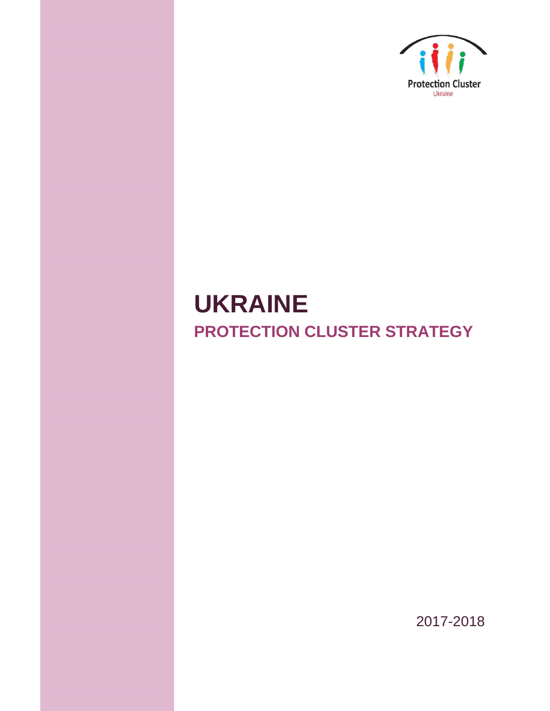

# **UKRAINE PROTECTION CLUSTER STRATEGY**

2017-2018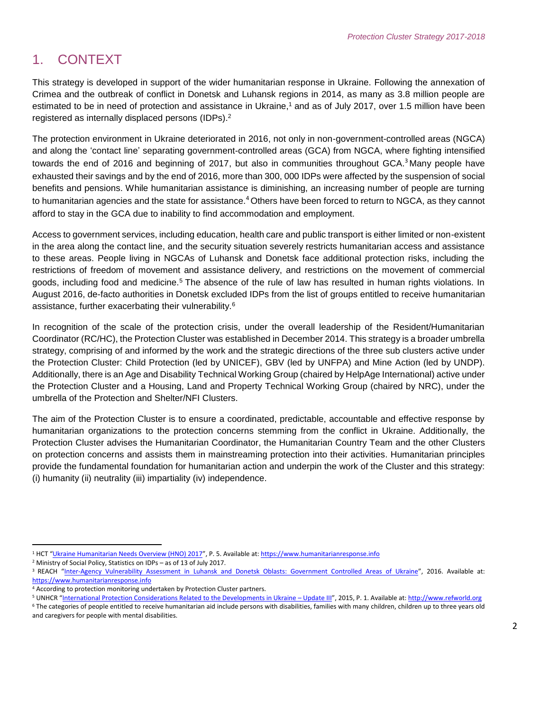# 1. CONTEXT

This strategy is developed in support of the wider humanitarian response in Ukraine. Following the annexation of Crimea and the outbreak of conflict in Donetsk and Luhansk regions in 2014, as many as 3.8 million people are estimated to be in need of protection and assistance in Ukraine,<sup>1</sup> and as of July 2017, over 1.5 million have been registered as internally displaced persons (IDPs). 2

The protection environment in Ukraine deteriorated in 2016, not only in non-government-controlled areas (NGCA) and along the 'contact line' separating government-controlled areas (GCA) from NGCA, where fighting intensified towards the end of 2016 and beginning of 2017, but also in communities throughout GCA.<sup>3</sup> Many people have exhausted their savings and by the end of 2016, more than 300, 000 IDPs were affected by the suspension of social benefits and pensions. While humanitarian assistance is diminishing, an increasing number of people are turning to humanitarian agencies and the state for assistance.<sup>4</sup> Others have been forced to return to NGCA, as they cannot afford to stay in the GCA due to inability to find accommodation and employment.

Access to government services, including education, health care and public transport is either limited or non-existent in the area along the contact line, and the security situation severely restricts humanitarian access and assistance to these areas. People living in NGCAs of Luhansk and Donetsk face additional protection risks, including the restrictions of freedom of movement and assistance delivery, and restrictions on the movement of commercial goods, including food and medicine.<sup>5</sup> The absence of the rule of law has resulted in human rights violations. In August 2016, de-facto authorities in Donetsk excluded IDPs from the list of groups entitled to receive humanitarian assistance, further exacerbating their vulnerability.<sup>6</sup>

In recognition of the scale of the protection crisis, under the overall leadership of the Resident/Humanitarian Coordinator (RC/HC), the Protection Cluster was established in December 2014. This strategy is a broader umbrella strategy, comprising of and informed by the work and the strategic directions of the three sub clusters active under the Protection Cluster: Child Protection (led by UNICEF), GBV (led by UNFPA) and Mine Action (led by UNDP). Additionally, there is an Age and Disability Technical Working Group (chaired by HelpAge International) active under the Protection Cluster and a Housing, Land and Property Technical Working Group (chaired by NRC), under the umbrella of the Protection and Shelter/NFI Clusters.

The aim of the Protection Cluster is to ensure a coordinated, predictable, accountable and effective response by humanitarian organizations to the protection concerns stemming from the conflict in Ukraine. Additionally, the Protection Cluster advises the Humanitarian Coordinator, the Humanitarian Country Team and the other Clusters on protection concerns and assists them in mainstreaming protection into their activities. Humanitarian principles provide the fundamental foundation for humanitarian action and underpin the work of the Cluster and this strategy: (i) humanity (ii) neutrality (iii) impartiality (iv) independence.

 $\overline{\phantom{a}}$ <sup>1</sup> HCT "[Ukraine Humanitarian Needs Overview \(HNO\) 2017](https://www.humanitarianresponse.info/en/operations/ukraine/document/ukraine-2017-humanitarian-needs-overview-hno)", P. 5. Available at[: https://www.humanitarianresponse.info](https://www.humanitarianresponse.info/)

<sup>2</sup> Ministry of Social Policy, Statistics on IDPs – as of 13 of July 2017.

<sup>&</sup>lt;sup>3</sup> REACH "Inter-Agency Vulnerability Assessment in [Luhansk and Donetsk Oblasts: Government Controlled Areas of Ukraine](https://www.humanitarianresponse.info/system/files/documents/files/ukr_report_interagency_vulnerability_assessment_november_2016.pdf)", 2016. Available at: [https://www.humanitarianresponse.info](https://www.humanitarianresponse.info/)

<sup>4</sup> According to protection monitoring undertaken by Protection Cluster partners.

<sup>&</sup>lt;sup>5</sup> UNHCR "[International Protection Considerations Related to the Developments in Ukraine](http://www.refworld.org/docid/56017e034.html) – Update III", 2015, P. 1. Available at: [http://www.refworld.org](http://www.refworld.org/)

<sup>&</sup>lt;sup>6</sup> The categories of people entitled to receive humanitarian aid include persons with disabilities, families with many children, children up to three years old and caregivers for people with mental disabilities.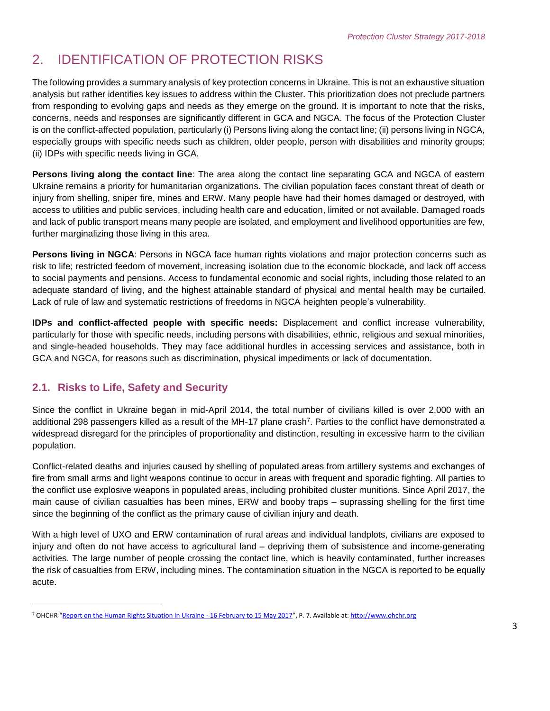# 2. IDENTIFICATION OF PROTECTION RISKS

The following provides a summary analysis of key protection concerns in Ukraine. This is not an exhaustive situation analysis but rather identifies key issues to address within the Cluster. This prioritization does not preclude partners from responding to evolving gaps and needs as they emerge on the ground. It is important to note that the risks, concerns, needs and responses are significantly different in GCA and NGCA. The focus of the Protection Cluster is on the conflict-affected population, particularly (i) Persons living along the contact line; (ii) persons living in NGCA, especially groups with specific needs such as children, older people, person with disabilities and minority groups; (ii) IDPs with specific needs living in GCA.

**Persons living along the contact line**: The area along the contact line separating GCA and NGCA of eastern Ukraine remains a priority for humanitarian organizations. The civilian population faces constant threat of death or injury from shelling, sniper fire, mines and ERW. Many people have had their homes damaged or destroyed, with access to utilities and public services, including health care and education, limited or not available. Damaged roads and lack of public transport means many people are isolated, and employment and livelihood opportunities are few, further marginalizing those living in this area.

**Persons living in NGCA**: Persons in NGCA face human rights violations and major protection concerns such as risk to life; restricted feedom of movement, increasing isolation due to the economic blockade, and lack off access to social payments and pensions. Access to fundamental economic and social rights, including those related to an adequate standard of living, and the highest attainable standard of physical and mental health may be curtailed. Lack of rule of law and systematic restrictions of freedoms in NGCA heighten people's vulnerability.

**IDPs and conflict-affected people with specific needs:** Displacement and conflict increase vulnerability, particularly for those with specific needs, including persons with disabilities, ethnic, religious and sexual minorities, and single-headed households. They may face additional hurdles in accessing services and assistance, both in GCA and NGCA, for reasons such as discrimination, physical impediments or lack of documentation.

### **2.1. Risks to Life, Safety and Security**

Since the conflict in Ukraine began in mid-April 2014, the total number of civilians killed is over 2,000 with an additional 298 passengers killed as a result of the MH-17 plane crash<sup>7</sup>. Parties to the conflict have demonstrated a widespread disregard for the principles of proportionality and distinction, resulting in excessive harm to the civilian population.

Conflict-related deaths and injuries caused by shelling of populated areas from artillery systems and exchanges of fire from small arms and light weapons continue to occur in areas with frequent and sporadic fighting. All parties to the conflict use explosive weapons in populated areas, including prohibited cluster munitions. Since April 2017, the main cause of civilian casualties has been mines, ERW and booby traps – suprassing shelling for the first time since the beginning of the conflict as the primary cause of civilian injury and death.

With a high level of UXO and ERW contamination of rural areas and individual landplots, civilians are exposed to injury and often do not have access to agricultural land – depriving them of subsistence and income-generating activities. The large number of people crossing the contact line, which is heavily contaminated, further increases the risk of casualties from ERW, including mines. The contamination situation in the NGCA is reported to be equally acute.

 $\overline{a}$ <sup>7</sup> OHCHR "[Report on the Human Rights Situation in Ukraine -](http://www.ohchr.org/Documents/Countries/UA/UAReport18th_EN.pdf) 16 February to 15 May 2017", P. 7. Available at[: http://www.ohchr.org](http://www.ohchr.org/)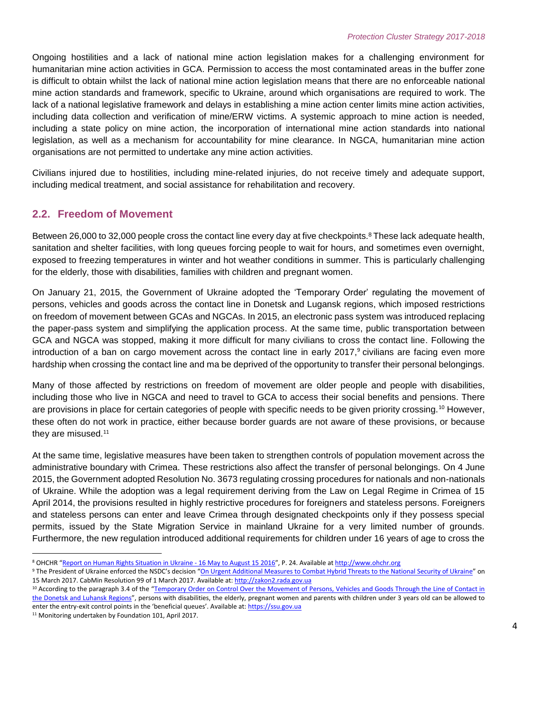Ongoing hostilities and a lack of national mine action legislation makes for a challenging environment for humanitarian mine action activities in GCA. Permission to access the most contaminated areas in the buffer zone is difficult to obtain whilst the lack of national mine action legislation means that there are no enforceable national mine action standards and framework, specific to Ukraine, around which organisations are required to work. The lack of a national legislative framework and delays in establishing a mine action center limits mine action activities, including data collection and verification of mine/ERW victims. A systemic approach to mine action is needed, including a state policy on mine action, the incorporation of international mine action standards into national legislation, as well as a mechanism for accountability for mine clearance. In NGCA, humanitarian mine action organisations are not permitted to undertake any mine action activities.

Civilians injured due to hostilities, including mine-related injuries, do not receive timely and adequate support, including medical treatment, and social assistance for rehabilitation and recovery.

### **2.2. Freedom of Movement**

Between 26,000 to 32,000 people cross the contact line every day at five checkpoints.<sup>8</sup> These lack adequate health, sanitation and shelter facilities, with long queues forcing people to wait for hours, and sometimes even overnight, exposed to freezing temperatures in winter and hot weather conditions in summer. This is particularly challenging for the elderly, those with disabilities, families with children and pregnant women.

On January 21, 2015, the Government of Ukraine adopted the 'Temporary Order' regulating the movement of persons, vehicles and goods across the contact line in Donetsk and Lugansk regions, which imposed restrictions on freedom of movement between GCAs and NGCAs. In 2015, an electronic pass system was introduced replacing the paper-pass system and simplifying the application process. At the same time, public transportation between GCA and NGCA was stopped, making it more difficult for many civilians to cross the contact line. Following the introduction of a ban on cargo movement across the contact line in early 2017,<sup>9</sup> civilians are facing even more hardship when crossing the contact line and ma be deprived of the opportunity to transfer their personal belongings.

Many of those affected by restrictions on freedom of movement are older people and people with disabilities, including those who live in NGCA and need to travel to GCA to access their social benefits and pensions. There are provisions in place for certain categories of people with specific needs to be given priority crossing.<sup>10</sup> However, these often do not work in practice, either because border guards are not aware of these provisions, or because they are misused.<sup>11</sup>

At the same time, legislative measures have been taken to strengthen controls of population movement across the administrative boundary with Crimea. These restrictions also affect the transfer of personal belongings. On 4 June 2015, the Government adopted Resolution No. 3673 regulating crossing procedures for nationals and non-nationals of Ukraine. While the adoption was a legal requirement deriving from the Law on Legal Regime in Crimea of 15 April 2014, the provisions resulted in highly restrictive procedures for foreigners and stateless persons. Foreigners and stateless persons can enter and leave Crimea through designated checkpoints only if they possess special permits, issued by the State Migration Service in mainland Ukraine for a very limited number of grounds. Furthermore, the new regulation introduced additional requirements for children under 16 years of age to cross the

 $\overline{\phantom{a}}$ 8 OHCHR "[Report on Human Rights Situation in Ukraine -](http://www.ohchr.org/Documents/Countries/UA/Ukraine15thReport.pdf) 16 May to August 15 2016", P. 24. Available a[t http://www.ohchr.org](http://www.ohchr.org/)

<sup>9</sup> The President of Ukraine enforced the NSDC's decision "[On Urgent Additional Measures to Combat Hybrid Threats to the National Security of Ukraine](http://zakon2.rada.gov.ua/laws/show/n0002525-17)" on 15 March 2017. CabMin Resolution 99 of 1 March 2017. Available at[: http://zakon2.rada.gov.ua](http://zakon2.rada.gov.ua/)

<sup>&</sup>lt;sup>10</sup> According to the paragraph 3.4 of the "Temporary Order on Control Over the Movement of Persons, Vehicles and Goods Through the Line of Contact in [the Donetsk and Luhansk Regions](https://ssu.gov.ua/ua/pages/32)", persons with disabilities, the elderly, pregnant women and parents with children under 3 years old can be allowed to enter the entry-exit control points in the 'beneficial queues'. Available at[: https://ssu.gov.ua](https://ssu.gov.ua/)

<sup>&</sup>lt;sup>11</sup> Monitoring undertaken by Foundation 101, April 2017.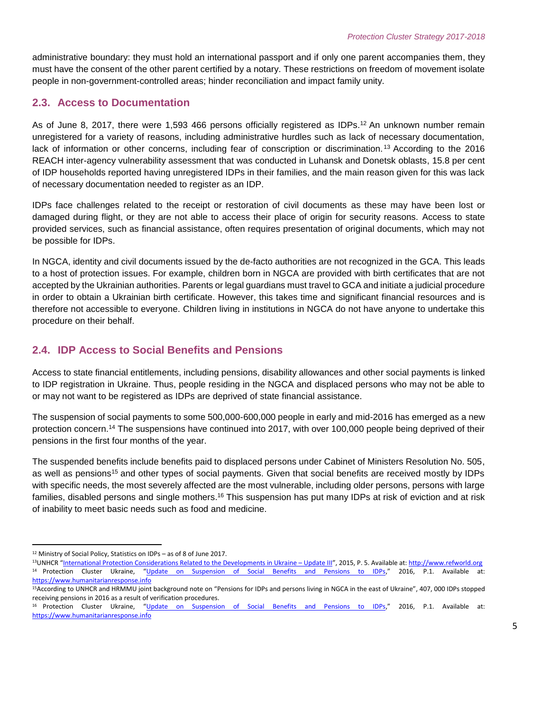administrative boundary: they must hold an international passport and if only one parent accompanies them, they must have the consent of the other parent certified by a notary. These restrictions on freedom of movement isolate people in non-government-controlled areas; hinder reconciliation and impact family unity.

### **2.3. Access to Documentation**

As of June 8, 2017, there were 1,593 466 persons officially registered as IDPs.<sup>12</sup> An unknown number remain unregistered for a variety of reasons, including administrative hurdles such as lack of necessary documentation, lack of information or other concerns, including fear of conscription or discrimination. <sup>13</sup> According to the 2016 REACH inter-agency vulnerability assessment that was conducted in Luhansk and Donetsk oblasts, 15.8 per cent of IDP households reported having unregistered IDPs in their families, and the main reason given for this was lack of necessary documentation needed to register as an IDP.

IDPs face challenges related to the receipt or restoration of civil documents as these may have been lost or damaged during flight, or they are not able to access their place of origin for security reasons. Access to state provided services, such as financial assistance, often requires presentation of original documents, which may not be possible for IDPs.

In NGCA, identity and civil documents issued by the de-facto authorities are not recognized in the GCA. This leads to a host of protection issues. For example, children born in NGCA are provided with birth certificates that are not accepted by the Ukrainian authorities. Parents or legal guardians must travel to GCA and initiate a judicial procedure in order to obtain a Ukrainian birth certificate. However, this takes time and significant financial resources and is therefore not accessible to everyone. Children living in institutions in NGCA do not have anyone to undertake this procedure on their behalf.

### **2.4. IDP Access to Social Benefits and Pensions**

Access to state financial entitlements, including pensions, disability allowances and other social payments is linked to IDP registration in Ukraine. Thus, people residing in the NGCA and displaced persons who may not be able to or may not want to be registered as IDPs are deprived of state financial assistance.

The suspension of social payments to some 500,000-600,000 people in early and mid-2016 has emerged as a new protection concern. <sup>14</sup> The suspensions have continued into 2017, with over 100,000 people being deprived of their pensions in the first four months of the year.

The suspended benefits include benefits paid to displaced persons under Cabinet of Ministers Resolution No. 505, as well as pensions<sup>15</sup> and other types of social payments. Given that social benefits are received mostly by IDPs with specific needs, the most severely affected are the most vulnerable, including older persons, persons with large families, disabled persons and single mothers.<sup>16</sup> This suspension has put many IDPs at risk of eviction and at risk of inability to meet basic needs such as food and medicine.

 $\overline{\phantom{a}}$ <sup>12</sup> Ministry of Social Policy, Statistics on IDPs – as of 8 of June 2017.

<sup>&</sup>lt;sup>13</sup>UNHCR "[International Protection Considerations Related to the Developments in Ukraine](http://www.refworld.org/docid/56017e034.html) – Update III", 2015, P. 5. Available at[: http://www.refworld.org](http://www.refworld.org/) <sup>14</sup> Protection Cluster Ukraine, "[Update on Suspension of Social Benefits and Pensions to IDPs](https://www.humanitarianresponse.info/en/system/files/documents/files/17_june_2016_update_on_suspension_of_payments_to_idps_en.pdf)," 2016, P.1. Available at: [https://www.humanitarianresponse.info](https://www.humanitarianresponse.info/)

<sup>&</sup>lt;sup>15</sup>According to UNHCR and HRMMU joint background note on "Pensions for IDPs and persons living in NGCA in the east of Ukraine", 407, 000 IDPs stopped receiving pensions in 2016 as a result of verification procedures.

<sup>&</sup>lt;sup>16</sup> Protection Cluster Ukraine, "[Update on Suspension of Social Benefits and Pensions to IDPs](https://www.humanitarianresponse.info/en/system/files/documents/files/17_june_2016_update_on_suspension_of_payments_to_idps_en.pdf)," 2016, P.1. Available at: [https://www.humanitarianresponse.info](https://www.humanitarianresponse.info/)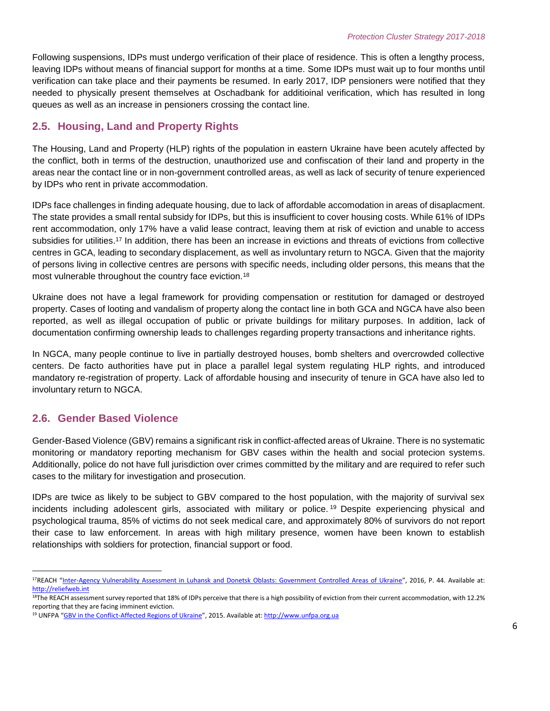Following suspensions, IDPs must undergo verification of their place of residence. This is often a lengthy process, leaving IDPs without means of financial support for months at a time. Some IDPs must wait up to four months until verification can take place and their payments be resumed. In early 2017, IDP pensioners were notified that they needed to physically present themselves at Oschadbank for additioinal verification, which has resulted in long queues as well as an increase in pensioners crossing the contact line.

### **2.5. Housing, Land and Property Rights**

The Housing, Land and Property (HLP) rights of the population in eastern Ukraine have been acutely affected by the conflict, both in terms of the destruction, unauthorized use and confiscation of their land and property in the areas near the contact line or in non-government controlled areas, as well as lack of security of tenure experienced by IDPs who rent in private accommodation.

IDPs face challenges in finding adequate housing, due to lack of affordable accomodation in areas of disaplacment. The state provides a small rental subsidy for IDPs, but this is insufficient to cover housing costs. While 61% of IDPs rent accommodation, only 17% have a valid lease contract, leaving them at risk of eviction and unable to access subsidies for utilities.<sup>17</sup> In addition, there has been an increase in evictions and threats of evictions from collective centres in GCA, leading to secondary displacement, as well as involuntary return to NGCA. Given that the majority of persons living in collective centres are persons with specific needs, including older persons, this means that the most vulnerable throughout the country face eviction.<sup>18</sup>

Ukraine does not have a legal framework for providing compensation or restitution for damaged or destroyed property. Cases of looting and vandalism of property along the contact line in both GCA and NGCA have also been reported, as well as illegal occupation of public or private buildings for military purposes. In addition, lack of documentation confirming ownership leads to challenges regarding property transactions and inheritance rights.

In NGCA, many people continue to live in partially destroyed houses, bomb shelters and overcrowded collective centers. De facto authorities have put in place a parallel legal system regulating HLP rights, and introduced mandatory re-registration of property. Lack of affordable housing and insecurity of tenure in GCA have also led to involuntary return to NGCA.

### **2.6. Gender Based Violence**

 $\overline{\phantom{a}}$ 

Gender-Based Violence (GBV) remains a significant risk in conflict-affected areas of Ukraine. There is no systematic monitoring or mandatory reporting mechanism for GBV cases within the health and social protecion systems. Additionally, police do not have full jurisdiction over crimes committed by the military and are required to refer such cases to the military for investigation and prosecution.

IDPs are twice as likely to be subject to GBV compared to the host population, with the majority of survival sex incidents including adolescent girls, associated with military or police. <sup>19</sup> Despite experiencing physical and psychological trauma, 85% of victims do not seek medical care, and approximately 80% of survivors do not report their case to law enforcement. In areas with high military presence, women have been known to establish relationships with soldiers for protection, financial support or food.

<sup>17</sup>REACH "[Inter-Agency Vulnerability Assessment in Luhansk and Donetsk Oblasts: Government Controlled Areas of Ukraine](http://reliefweb.int/sites/reliefweb.int/files/resources/ukr_report_interagency_vulnerability_assessment_november_2016.pdf)", 2016, P. 44. Available at: [http://reliefweb.int](http://reliefweb.int/)

 $18$ The REACH assessment survey reported that 18% of IDPs perceive that there is a high possibility of eviction from their current accommodation, with 12.2% reporting that they are facing imminent eviction.

<sup>&</sup>lt;sup>19</sup> UNFPA "[GBV in the Conflict-Affected Regions of Ukraine](http://www.unfpa.org.ua/files/articles/6/55/GBV%20Prevalence%20Survey_ENG.pdf)", 2015. Available at: [http://www.unfpa.org.ua](http://www.unfpa.org.ua/)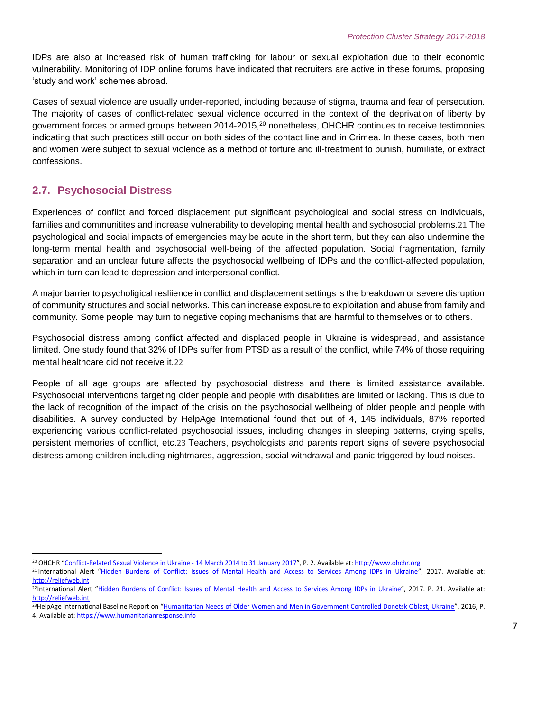IDPs are also at increased risk of human trafficking for labour or sexual exploitation due to their economic vulnerability. Monitoring of IDP online forums have indicated that recruiters are active in these forums, proposing 'study and work' schemes abroad.

Cases of sexual violence are usually under-reported, including because of stigma, trauma and fear of persecution. The majority of cases of conflict-related sexual violence occurred in the context of the deprivation of liberty by government forces or armed groups between 2014-2015,<sup>20</sup> nonetheless, OHCHR continues to receive testimonies indicating that such practices still occur on both sides of the contact line and in Crimea. In these cases, both men and women were subject to sexual violence as a method of torture and ill-treatment to punish, humiliate, or extract confessions.

### **2.7. Psychosocial Distress**

Experiences of conflict and forced displacement put significant psychological and social stress on indivicuals, families and communitites and increase vulnerability to developing mental health and sychosocial problems.21 The psychological and social impacts of emergencies may be acute in the short term, but they can also undermine the long-term mental health and psychosocial well-being of the affected population. Social fragmentation, family separation and an unclear future affects the psychosocial wellbeing of IDPs and the conflict-affected population, which in turn can lead to depression and interpersonal conflict.

A major barrier to psycholigical resliience in conflict and displacement settings is the breakdown or severe disruption of community structures and social networks. This can increase exposure to exploitation and abuse from family and community. Some people may turn to negative coping mechanisms that are harmful to themselves or to others.

Psychosocial distress among conflict affected and displaced people in Ukraine is widespread, and assistance limited. One study found that 32% of IDPs suffer from PTSD as a result of the conflict, while 74% of those requiring mental healthcare did not receive it.22

People of all age groups are affected by psychosocial distress and there is limited assistance available. Psychosocial interventions targeting older people and people with disabilities are limited or lacking. This is due to the lack of recognition of the impact of the crisis on the psychosocial wellbeing of older people and people with disabilities. A survey conducted by HelpAge International found that out of 4, 145 individuals, 87% reported experiencing various conflict-related psychosocial issues, including changes in sleeping patterns, crying spells, persistent memories of conflict, etc.23 Teachers, psychologists and parents report signs of severe psychosocial distress among children including nightmares, aggression, social withdrawal and panic triggered by loud noises.

- <sup>23</sup>HelpAge International Baseline Report on "[Humanitarian Needs of Older Women and Men in Government Controlled Donetsk Oblast, Ukraine](https://www.humanitarianresponse.info/system/files/documents/files/older_people_in_donetsk_overview_october_2016_eng_0.pdf)", 2016, P.
- 4. Available at: [https://www.humanitarianresponse.info](https://www.humanitarianresponse.info/)

 $\overline{\phantom{a}}$ 

<sup>&</sup>lt;sup>20</sup> OHCHR "[Conflict-Related Sexual Violence in Ukraine -](http://www.ohchr.org/Documents/Countries/UA/ReportCRSV_EN.pdf) 14 March 2014 to 31 January 2017", P. 2. Available at[: http://www.ohchr.org](http://www.ohchr.org/)

<sup>&</sup>lt;sup>21</sup> International Alert "[Hidden Burdens of Conflict: Issues of Mental Health and Access to Services Among IDPs in Ukraine](http://reliefweb.int/sites/reliefweb.int/files/resources/Ukraine_HiddenBurdensConflictIDPs_EN_2017.pdf)", 2017. Available at: [http://reliefweb.int](http://reliefweb.int/)

<sup>22</sup>International Alert "[Hidden Burdens of Conflict: Issues of Mental Health and Access to Services Among IDPs in Ukraine](http://reliefweb.int/sites/reliefweb.int/files/resources/Ukraine_HiddenBurdensConflictIDPs_EN_2017.pdf)", 2017. P. 21. Available at: [http://reliefweb.int](http://reliefweb.int/)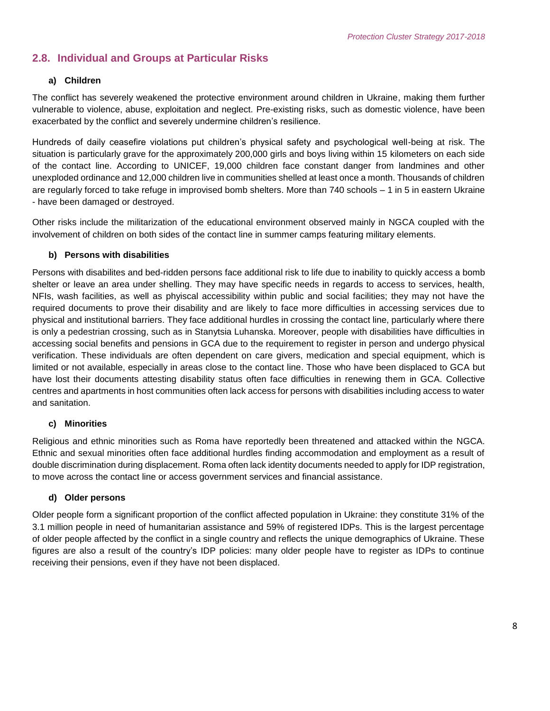### **2.8. Individual and Groups at Particular Risks**

#### **a) Children**

The conflict has severely weakened the protective environment around children in Ukraine, making them further vulnerable to violence, abuse, exploitation and neglect. Pre-existing risks, such as domestic violence, have been exacerbated by the conflict and severely undermine children's resilience.

Hundreds of daily ceasefire violations put children's physical safety and psychological well-being at risk. The situation is particularly grave for the approximately 200,000 girls and boys living within 15 kilometers on each side of the contact line. According to UNICEF, 19,000 children face constant danger from landmines and other unexploded ordinance and 12,000 children live in communities shelled at least once a month. Thousands of children are regularly forced to take refuge in improvised bomb shelters. More than 740 schools – 1 in 5 in eastern Ukraine - have been damaged or destroyed.

Other risks include the militarization of the educational environment observed mainly in NGCA coupled with the involvement of children on both sides of the contact line in summer camps featuring military elements.

#### **b) Persons with disabilities**

Persons with disabilites and bed-ridden persons face additional risk to life due to inability to quickly access a bomb shelter or leave an area under shelling. They may have specific needs in regards to access to services, health, NFIs, wash facilities, as well as phyiscal accessibility within public and social facilities; they may not have the required documents to prove their disability and are likely to face more difficulties in accessing services due to physical and institutional barriers. They face additional hurdles in crossing the contact line, particularly where there is only a pedestrian crossing, such as in Stanytsia Luhanska. Moreover, people with disabilities have difficulties in accessing social benefits and pensions in GCA due to the requirement to register in person and undergo physical verification. These individuals are often dependent on care givers, medication and special equipment, which is limited or not available, especially in areas close to the contact line. Those who have been displaced to GCA but have lost their documents attesting disability status often face difficulties in renewing them in GCA. Collective centres and apartments in host communities often lack access for persons with disabilities including access to water and sanitation.

#### **c) Minorities**

Religious and ethnic minorities such as Roma have reportedly been threatened and attacked within the NGCA. Ethnic and sexual minorities often face additional hurdles finding accommodation and employment as a result of double discrimination during displacement. Roma often lack identity documents needed to apply for IDP registration, to move across the contact line or access government services and financial assistance.

#### **d) Older persons**

Older people form a significant proportion of the conflict affected population in Ukraine: they constitute 31% of the 3.1 million people in need of humanitarian assistance and 59% of registered IDPs. This is the largest percentage of older people affected by the conflict in a single country and reflects the unique demographics of Ukraine. These figures are also a result of the country's IDP policies: many older people have to register as IDPs to continue receiving their pensions, even if they have not been displaced.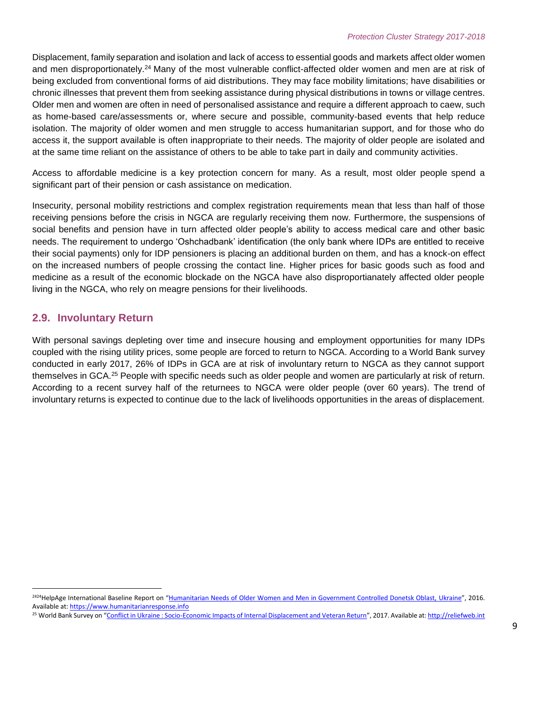Displacement, family separation and isolation and lack of access to essential goods and markets affect older women and men disproportionately.<sup>24</sup> Many of the most vulnerable conflict-affected older women and men are at risk of being excluded from conventional forms of aid distributions. They may face mobility limitations; have disabilities or chronic illnesses that prevent them from seeking assistance during physical distributions in towns or village centres. Older men and women are often in need of personalised assistance and require a different approach to caew, such as home-based care/assessments or, where secure and possible, community-based events that help reduce isolation. The majority of older women and men struggle to access humanitarian support, and for those who do access it, the support available is often inappropriate to their needs. The majority of older people are isolated and at the same time reliant on the assistance of others to be able to take part in daily and community activities.

Access to affordable medicine is a key protection concern for many. As a result, most older people spend a significant part of their pension or cash assistance on medication.

Insecurity, personal mobility restrictions and complex registration requirements mean that less than half of those receiving pensions before the crisis in NGCA are regularly receiving them now. Furthermore, the suspensions of social benefits and pension have in turn affected older people's ability to access medical care and other basic needs. The requirement to undergo 'Oshchadbank' identification (the only bank where IDPs are entitled to receive their social payments) only for IDP pensioners is placing an additional burden on them, and has a knock-on effect on the increased numbers of people crossing the contact line. Higher prices for basic goods such as food and medicine as a result of the economic blockade on the NGCA have also disproportianately affected older people living in the NGCA, who rely on meagre pensions for their livelihoods.

#### **2.9. Involuntary Return**

 $\overline{\phantom{a}}$ 

With personal savings depleting over time and insecure housing and employment opportunities for many IDPs coupled with the rising utility prices, some people are forced to return to NGCA. According to a World Bank survey conducted in early 2017, 26% of IDPs in GCA are at risk of involuntary return to NGCA as they cannot support themselves in GCA.<sup>25</sup> People with specific needs such as older people and women are particularly at risk of return. According to a recent survey half of the returnees to NGCA were older people (over 60 years). The trend of involuntary returns is expected to continue due to the lack of livelihoods opportunities in the areas of displacement.

<sup>&</sup>lt;sup>2424</sup>HelpAge International Baseline Report on "[Humanitarian Needs of Older Women and Men in Government Controlled Donetsk Oblast,](https://www.humanitarianresponse.info/system/files/documents/files/older_people_in_donetsk_overview_october_2016_eng_0.pdf) Ukraine", 2016. Available at: [https://www.humanitarianresponse.info](https://www.humanitarianresponse.info/)

<sup>&</sup>lt;sup>25</sup> World Bank Survey on "[Conflict in Ukraine : Socio-Economic Impacts of Internal Displacement and Veteran Return](http://reliefweb.int/sites/reliefweb.int/files/resources/116489-wp-public-138p-gsugl-ukrainesurveyresearchwithannexes.pdf)", 2017. Available at[: http://reliefweb.int](http://reliefweb.int/)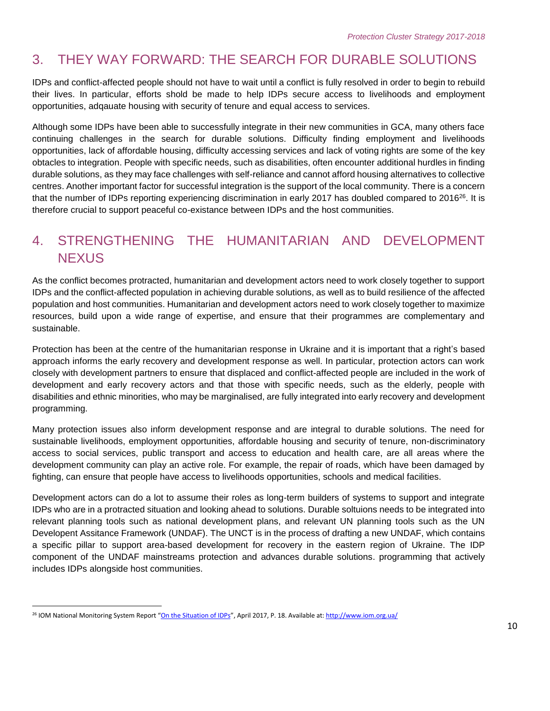# 3. THEY WAY FORWARD: THE SEARCH FOR DURABLE SOLUTIONS

IDPs and conflict-affected people should not have to wait until a conflict is fully resolved in order to begin to rebuild their lives. In particular, efforts shold be made to help IDPs secure access to livelihoods and employment opportunities, adqauate housing with security of tenure and equal access to services.

Although some IDPs have been able to successfully integrate in their new communities in GCA, many others face continuing challenges in the search for durable solutions. Difficulty finding employment and livelihoods opportunities, lack of affordable housing, difficulty accessing services and lack of voting rights are some of the key obtacles to integration. People with specific needs, such as disabilities, often encounter additional hurdles in finding durable solutions, as they may face challenges with self-reliance and cannot afford housing alternatives to collective centres. Another important factor for successful integration is the support of the local community. There is a concern that the number of IDPs reporting experiencing discrimination in early 2017 has doubled compared to 2016<sup>26</sup>. It is therefore crucial to support peaceful co-existance between IDPs and the host communities.

## 4. STRENGTHENING THE HUMANITARIAN AND DEVELOPMENT **NEXUS**

As the conflict becomes protracted, humanitarian and development actors need to work closely together to support IDPs and the conflict-affected population in achieving durable solutions, as well as to build resilience of the affected population and host communities. Humanitarian and development actors need to work closely together to maximize resources, build upon a wide range of expertise, and ensure that their programmes are complementary and sustainable.

Protection has been at the centre of the humanitarian response in Ukraine and it is important that a right's based approach informs the early recovery and development response as well. In particular, protection actors can work closely with development partners to ensure that displaced and conflict-affected people are included in the work of development and early recovery actors and that those with specific needs, such as the elderly, people with disabilities and ethnic minorities, who may be marginalised, are fully integrated into early recovery and development programming.

Many protection issues also inform development response and are integral to durable solutions. The need for sustainable livelihoods, employment opportunities, affordable housing and security of tenure, non-discriminatory access to social services, public transport and access to education and health care, are all areas where the development community can play an active role. For example, the repair of roads, which have been damaged by fighting, can ensure that people have access to livelihoods opportunities, schools and medical facilities.

Development actors can do a lot to assume their roles as long-term builders of systems to support and integrate IDPs who are in a protracted situation and looking ahead to solutions. Durable soltuions needs to be integrated into relevant planning tools such as national development plans, and relevant UN planning tools such as the UN Developent Assitance Framework (UNDAF). The UNCT is in the process of drafting a new UNDAF, which contains a specific pillar to support area-based development for recovery in the eastern region of Ukraine. The IDP component of the UNDAF mainstreams protection and advances durable solutions. programming that actively includes IDPs alongside host communities.

 $\overline{a}$ 

<sup>&</sup>lt;sup>26</sup> IOM National Monitoring System Report "[On the Situation of IDPs](http://www.iom.org.ua/sites/default/files/nms_report_march_2017_eng_new_0.pdf)", April 2017, P. 18. Available at[: http://www.iom.org.ua/](http://www.iom.org.ua/)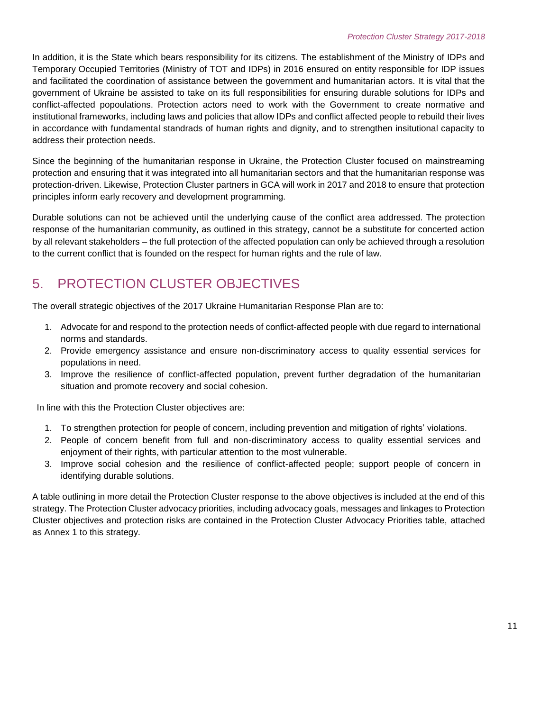In addition, it is the State which bears responsibility for its citizens. The establishment of the Ministry of IDPs and Temporary Occupied Territories (Ministry of TOT and IDPs) in 2016 ensured on entity responsible for IDP issues and facilitated the coordination of assistance between the government and humanitarian actors. It is vital that the government of Ukraine be assisted to take on its full responsibilities for ensuring durable solutions for IDPs and conflict-affected popoulations. Protection actors need to work with the Government to create normative and institutional frameworks, including laws and policies that allow IDPs and conflict affected people to rebuild their lives in accordance with fundamental standrads of human rights and dignity, and to strengthen insitutional capacity to address their protection needs.

Since the beginning of the humanitarian response in Ukraine, the Protection Cluster focused on mainstreaming protection and ensuring that it was integrated into all humanitarian sectors and that the humanitarian response was protection-driven. Likewise, Protection Cluster partners in GCA will work in 2017 and 2018 to ensure that protection principles inform early recovery and development programming.

Durable solutions can not be achieved until the underlying cause of the conflict area addressed. The protection response of the humanitarian community, as outlined in this strategy, cannot be a substitute for concerted action by all relevant stakeholders – the full protection of the affected population can only be achieved through a resolution to the current conflict that is founded on the respect for human rights and the rule of law.

# 5. PROTECTION CLUSTER OBJECTIVES

The overall strategic objectives of the 2017 Ukraine Humanitarian Response Plan are to:

- 1. Advocate for and respond to the protection needs of conflict-affected people with due regard to international norms and standards.
- 2. Provide emergency assistance and ensure non-discriminatory access to quality essential services for populations in need.
- 3. Improve the resilience of conflict-affected population, prevent further degradation of the humanitarian situation and promote recovery and social cohesion.

In line with this the Protection Cluster objectives are:

- 1. To strengthen protection for people of concern, including prevention and mitigation of rights' violations.
- 2. People of concern benefit from full and non-discriminatory access to quality essential services and enjoyment of their rights, with particular attention to the most vulnerable.
- 3. Improve social cohesion and the resilience of conflict-affected people; support people of concern in identifying durable solutions.

A table outlining in more detail the Protection Cluster response to the above objectives is included at the end of this strategy. The Protection Cluster advocacy priorities, including advocacy goals, messages and linkages to Protection Cluster objectives and protection risks are contained in the Protection Cluster Advocacy Priorities table, attached as Annex 1 to this strategy.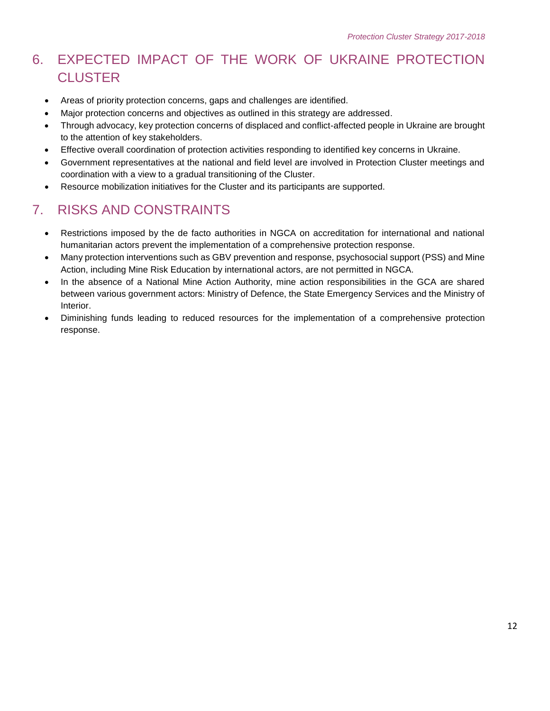# 6. EXPECTED IMPACT OF THE WORK OF UKRAINE PROTECTION **CLUSTER**

- Areas of priority protection concerns, gaps and challenges are identified.
- Major protection concerns and objectives as outlined in this strategy are addressed.
- Through advocacy, key protection concerns of displaced and conflict-affected people in Ukraine are brought to the attention of key stakeholders.
- Effective overall coordination of protection activities responding to identified key concerns in Ukraine.
- Government representatives at the national and field level are involved in Protection Cluster meetings and coordination with a view to a gradual transitioning of the Cluster.
- Resource mobilization initiatives for the Cluster and its participants are supported.

# 7. RISKS AND CONSTRAINTS

- Restrictions imposed by the de facto authorities in NGCA on accreditation for international and national humanitarian actors prevent the implementation of a comprehensive protection response.
- Many protection interventions such as GBV prevention and response, psychosocial support (PSS) and Mine Action, including Mine Risk Education by international actors, are not permitted in NGCA.
- In the absence of a National Mine Action Authority, mine action responsibilities in the GCA are shared between various government actors: Ministry of Defence, the State Emergency Services and the Ministry of Interior.
- Diminishing funds leading to reduced resources for the implementation of a comprehensive protection response.